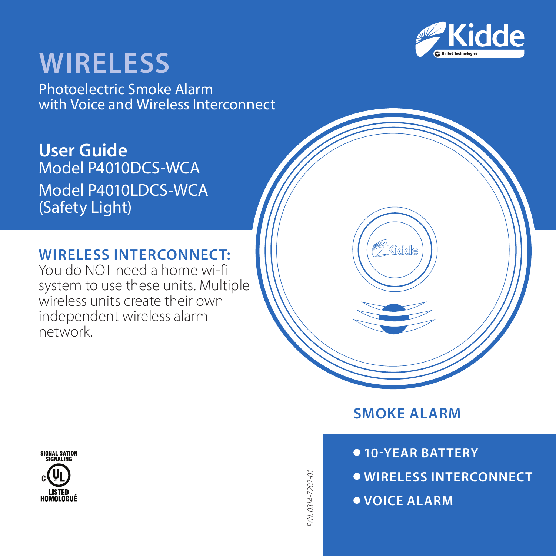

# **WireLESS**

Photoelectric Smoke Alarm with Voice and Wireless Interconnect

**User Guide** Model P4010DCS-WCA Model P4010LDCS-WCA (Safety Light)

# WIRELESS INTERCONNECT:

You do NOT need a home wi-fi system to use these units. Multiple wireless units create their own independent wireless alarm network.



 **10-year battery Wireless Interconnect VOICE ALARM**



9/N:0314-7202-01 *P/N: 0314-7202-01*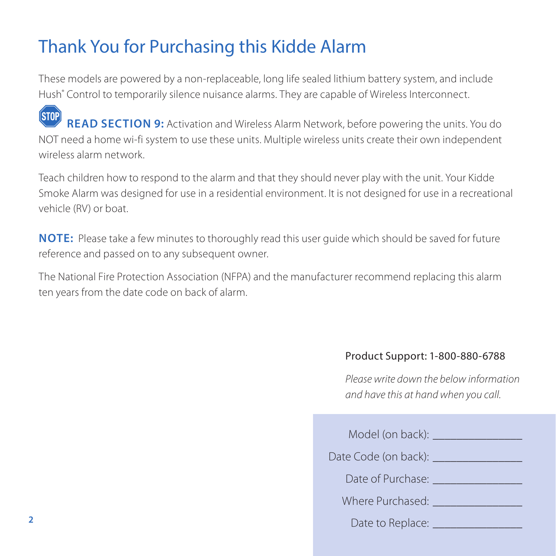# Thank You for Purchasing this Kidde Alarm

These models are powered by a non-replaceable, long life sealed lithium battery system, and include Hush® Control to temporarily silence nuisance alarms. They are capable of Wireless Interconnect.

**STOP** READ SECTION 9: Activation and Wireless Alarm Network, before powering the units. You do NOT need a home wi-fi system to use these units. Multiple wireless units create their own independent wireless alarm network.

Teach children how to respond to the alarm and that they should never play with the unit. Your Kidde Smoke Alarm was designed for use in a residential environment. It is not designed for use in a recreational vehicle (RV) or boat.

**NOTE:** Please take a few minutes to thoroughly read this user quide which should be saved for future reference and passed on to any subsequent owner.

The National Fire Protection Association (NFPA) and the manufacturer recommend replacing this alarm ten years from the date code on back of alarm.

#### Product Support: 1-800-880-6788

*Please write down the below information and have this at hand when you call.*

| Model (on back):     |  |
|----------------------|--|
| Date Code (on back): |  |
| Date of Purchase:    |  |
| Where Purchased:     |  |
| Date to Replace:     |  |
|                      |  |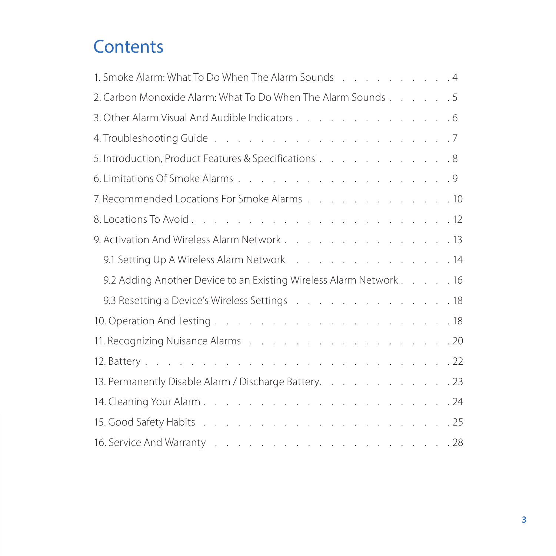# **Contents**

| 1. Smoke Alarm: What To Do When The Alarm Sounds [ ] [ ] 4                                                      |
|-----------------------------------------------------------------------------------------------------------------|
| 2. Carbon Monoxide Alarm: What To Do When The Alarm Sounds 5                                                    |
| 3. Other Alarm Visual And Audible Indicators 6                                                                  |
|                                                                                                                 |
| 5. Introduction, Product Features & Specifications 8                                                            |
|                                                                                                                 |
| 7. Recommended Locations For Smoke Alarms 10                                                                    |
|                                                                                                                 |
| 9. Activation And Wireless Alarm Network 13                                                                     |
| 9.1 Setting Up A Wireless Alarm Network 14                                                                      |
| 9.2 Adding Another Device to an Existing Wireless Alarm Network 16                                              |
| 9.3 Resetting a Device's Wireless Settings (and a subseted by a set of a set of the Settings et al. (a) a set o |
|                                                                                                                 |
|                                                                                                                 |
|                                                                                                                 |
| 13. Permanently Disable Alarm / Discharge Battery. 23                                                           |
|                                                                                                                 |
|                                                                                                                 |
|                                                                                                                 |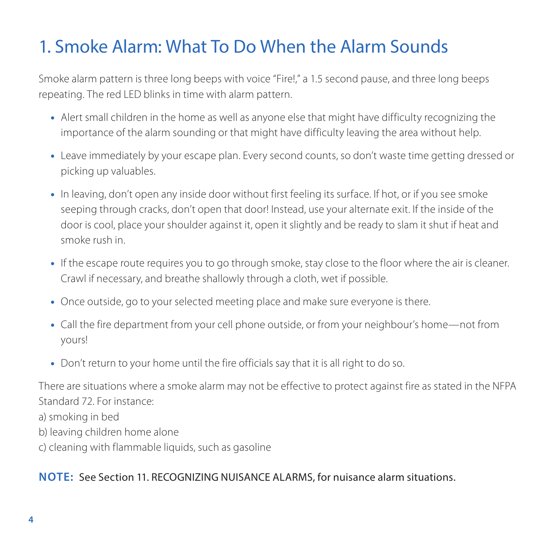# 1. Smoke Alarm: What To Do When the Alarm Sounds

Smoke alarm pattern is three long beeps with voice "Fire!," a 1.5 second pause, and three long beeps repeating. The red LED blinks in time with alarm pattern.

- •• Alert small children in the home as well as anyone else that might have difficulty recognizing the importance of the alarm sounding or that might have difficulty leaving the area without help.
- •• Leave immediately by your escape plan. Every second counts, so don't waste time getting dressed or picking up valuables.
- •• In leaving, don't open any inside door without first feeling its surface. If hot, or if you see smoke seeping through cracks, don't open that door! Instead, use your alternate exit. If the inside of the door is cool, place your shoulder against it, open it slightly and be ready to slam it shut if heat and smoke rush in.
- If the escape route requires you to go through smoke, stay close to the floor where the air is cleaner. Crawl if necessary, and breathe shallowly through a cloth, wet if possible.
- •• Once outside, go to your selected meeting place and make sure everyone is there.
- •• Call the fire department from your cell phone outside, or from your neighbour's home—not from yours!
- •• Don't return to your home until the fire officials say that it is all right to do so.

There are situations where a smoke alarm may not be effective to protect against fire as stated in the NFPA Standard 72. For instance: a) smoking in bed b) leaving children home alone c) cleaning with flammable liquids, such as gasoline

### **NOTE:** See Section 11. RECOGNIZING NUISANCE ALARMS, for nuisance alarm situations.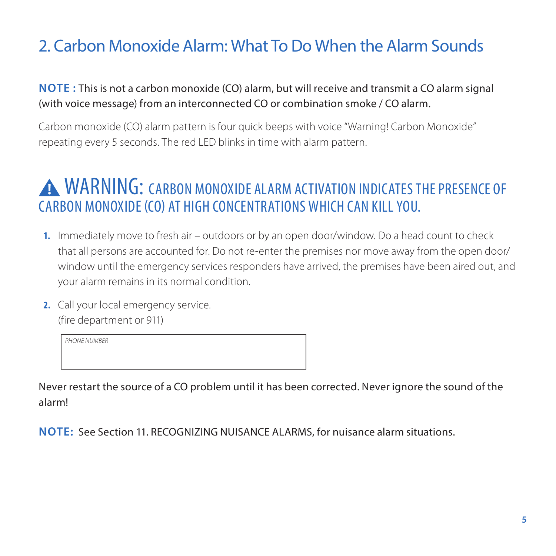# 2. Carbon Monoxide Alarm: What To Do When the Alarm Sounds

### **NOTE :** This is not a carbon monoxide (CO) alarm, but will receive and transmit a CO alarm signal (with voice message) from an interconnected CO or combination smoke / CO alarm.

Carbon monoxide (CO) alarm pattern is four quick beeps with voice "Warning! Carbon Monoxide" repeating every 5 seconds. The red LED blinks in time with alarm pattern.

# **A WARNING: CARBON MONOXIDE ALARM ACTIVATION INDICATES THE PRESENCE OF** Carbon Monoxide (CO) at high concentrations which can kill you.

- **1.** Immediately move to fresh air outdoors or by an open door/window. Do a head count to check that all persons are accounted for. Do not re-enter the premises nor move away from the open door/ window until the emergency services responders have arrived, the premises have been aired out, and your alarm remains in its normal condition.
- **2.** Call your local emergency service. (fire department or 911)

*PHONE NUMBER*

Never restart the source of a CO problem until it has been corrected. Never ignore the sound of the alarm!

**NOTE:** See Section 11. RECOGNIZING NUISANCE ALARMS, for nuisance alarm situations.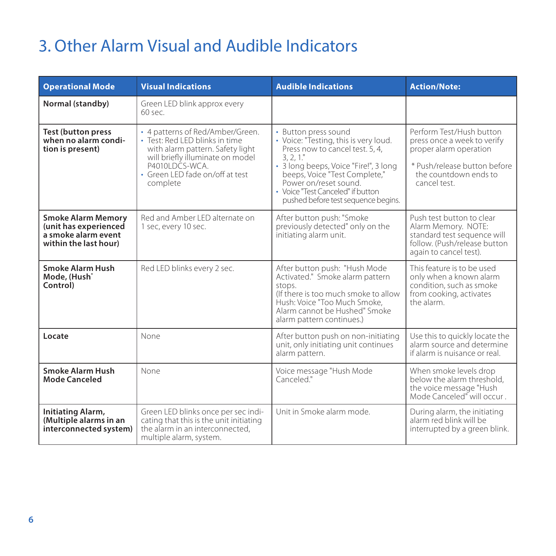# 3. Other Alarm Visual and Audible Indicators

| <b>Operational Mode</b>                                                                            | <b>Visual Indications</b>                                                                                                                                                                                                                                                                                                                                                                                                                                                                               | <b>Audible Indications</b>                                                                                                                                                                                      | <b>Action/Note:</b>                                                                                                                                       |  |
|----------------------------------------------------------------------------------------------------|---------------------------------------------------------------------------------------------------------------------------------------------------------------------------------------------------------------------------------------------------------------------------------------------------------------------------------------------------------------------------------------------------------------------------------------------------------------------------------------------------------|-----------------------------------------------------------------------------------------------------------------------------------------------------------------------------------------------------------------|-----------------------------------------------------------------------------------------------------------------------------------------------------------|--|
| Normal (standby)                                                                                   | Green LED blink approx every<br>60 sec                                                                                                                                                                                                                                                                                                                                                                                                                                                                  |                                                                                                                                                                                                                 |                                                                                                                                                           |  |
| <b>Test (button press</b><br>when no alarm condi-<br>tion is present)                              | · 4 patterns of Red/Amber/Green.<br>· Button press sound<br>· Test: Red I FD blinks in time<br>• Voice: "Testing, this is very loud.<br>Press now to cancel test. 5, 4.<br>with alarm pattern. Safety light<br>will briefly illuminate on model<br>3.2.1"<br>P4010LDCS-WCA<br>· 3 long beeps, Voice "Fire!", 3 long<br>· Green LED fade on/off at test<br>beeps, Voice "Test Complete,"<br>Power on/reset sound<br>complete<br>· Voice "Test Canceled" if button<br>pushed before test sequence begins. |                                                                                                                                                                                                                 | Perform Test/Hush button<br>press once a week to verify<br>proper alarm operation<br>* Push/release button before<br>the countdown ends to<br>cancel test |  |
| <b>Smoke Alarm Memory</b><br>(unit has experienced<br>a smoke alarm event<br>within the last hour) | Red and Amber I FD alternate on<br>1 sec, every 10 sec.                                                                                                                                                                                                                                                                                                                                                                                                                                                 | After button push: "Smoke<br>previously detected" only on the<br>initiating alarm unit.                                                                                                                         | Push test button to clear<br>Alarm Memory. NOTE:<br>standard test sequence will<br>follow. (Push/release button<br>again to cancel test).                 |  |
| Smoke Alarm Hush<br>Mode, (Hush <sup>+</sup><br>Control)                                           | Red LED blinks every 2 sec.                                                                                                                                                                                                                                                                                                                                                                                                                                                                             | After button push: "Hush Mode<br>Activated." Smoke alarm pattern<br>anota<br>(If there is too much smoke to allow<br>Hush: Voice "Too Much Smoke.<br>Alarm cannot be Hushed" Smoke<br>alarm pattern continues.) | This feature is to be used.<br>only when a known alarm<br>condition, such as smoke<br>from cooking, activates<br>the alarm                                |  |
| Locate                                                                                             | None                                                                                                                                                                                                                                                                                                                                                                                                                                                                                                    | After button push on non-initiating<br>unit, only initiating unit continues<br>alarm pattern.                                                                                                                   | Use this to quickly locate the<br>alarm source and determine<br>if alarm is nuisance or real.                                                             |  |
| Smoke Alarm Hush<br>Mode Canceled                                                                  | None                                                                                                                                                                                                                                                                                                                                                                                                                                                                                                    | Voice message "Hush Mode<br>Canceled"                                                                                                                                                                           | When smoke levels drop<br>below the alarm threshold.<br>the voice message "Hush<br>Mode Canceled <sup>®</sup> will occur                                  |  |
| Initiating Alarm,<br>(Multiple alarms in an<br>interconnected system)                              | Green LED blinks once per sec indi-<br>cating that this is the unit initiating<br>the alarm in an interconnected.<br>multiple alarm, system.                                                                                                                                                                                                                                                                                                                                                            | Unit in Smoke alarm mode<br>During alarm, the initiating<br>alarm red blink will be<br>interrupted by a green blink.                                                                                            |                                                                                                                                                           |  |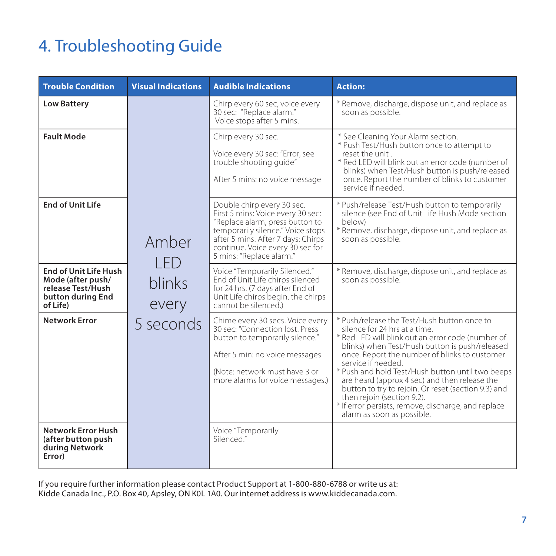# 4. Troubleshooting Guide

| <b>Trouble Condition</b>                                                                                | <b>Visual Indications</b>                     | <b>Audible Indications</b>                                                                                                                                                                                                                    | <b>Action:</b>                                                                                                                                                                                                                                                                                                                                                                                                                                                                                                                           |
|---------------------------------------------------------------------------------------------------------|-----------------------------------------------|-----------------------------------------------------------------------------------------------------------------------------------------------------------------------------------------------------------------------------------------------|------------------------------------------------------------------------------------------------------------------------------------------------------------------------------------------------------------------------------------------------------------------------------------------------------------------------------------------------------------------------------------------------------------------------------------------------------------------------------------------------------------------------------------------|
| <b>Low Battery</b>                                                                                      | Amber<br>I FD<br>blinks<br>every<br>5 seconds | Chirp every 60 sec, voice every<br>30 sec: "Réplace alarm."<br>Voice stops after 5 mins.                                                                                                                                                      | * Remove, discharge, dispose unit, and replace as<br>soon as possible.                                                                                                                                                                                                                                                                                                                                                                                                                                                                   |
| <b>Fault Mode</b>                                                                                       |                                               | Chirp every 30 sec.<br>Voice every 30 sec: "Error, see<br>trouble shooting quide"<br>After 5 mins: no voice message                                                                                                                           | * See Cleaning Your Alarm section.<br>* Push Test/Hush button once to attempt to<br>reset the unit<br>* Red LED will blink out an error code (number of<br>blinks) when Test/Hush button is push/released<br>once. Report the number of blinks to customer<br>service if needed                                                                                                                                                                                                                                                          |
| <b>End of Unit Life</b>                                                                                 |                                               | Double chirp every 30 sec.<br>First 5 mins: Voice every 30 sec:<br>"Replace alarm, press button to<br>temporarily silence." Voice stops<br>after 5 mins. After 7 days: Chirps<br>continue. Voice every 30 sec for<br>5 mins: "Replace alarm." | * Push/release Test/Hush button to temporarily<br>silence (see End of Unit Life Hush Mode section<br>below)<br>* Remove, discharge, dispose unit, and replace as<br>soon as possible.                                                                                                                                                                                                                                                                                                                                                    |
| <b>End of Unit Life Hush</b><br>Mode (after push/<br>release Test/Hush<br>button during End<br>of Life) |                                               | Voice "Temporarily Silenced."<br>End of Unit Life chirps silenced<br>for 24 hrs. (7 days after End of<br>Unit Life chirps begin, the chirps<br>cannot be silenced.)                                                                           | * Remove, discharge, dispose unit, and replace as<br>soon as possible.                                                                                                                                                                                                                                                                                                                                                                                                                                                                   |
| Network Error                                                                                           |                                               | Chime every 30 secs. Voice every<br>30 sec: "Connection lost. Press<br>button to temporarily silence."<br>After 5 min: no voice messages<br>(Note: network must have 3 or<br>more alarms for voice messages.)                                 | * Push/release the Test/Hush button once to<br>silence for 24 hrs at a time.<br>* Red LED will blink out an error code (number of<br>blinks) when Test/Hush button is push/released<br>once. Report the number of blinks to customer<br>service if needed<br>* Push and hold Test/Hush button until two beeps<br>are heard (approx 4 sec) and then release the<br>button to try to rejoin. Or reset (section 9.3) and<br>then rejoin (section 9.2).<br>* If error persists, remove, discharge, and replace<br>alarm as soon as possible. |
| Network Error Hush<br>(after button push<br>during Network<br>Error)                                    |                                               | Voice "Temporarily<br>Silenced"                                                                                                                                                                                                               |                                                                                                                                                                                                                                                                                                                                                                                                                                                                                                                                          |

If you require further information please contact Product Support at 1-800-880-6788 or write us at: Kidde Canada Inc., P.O. Box 40, Apsley, ON K0L 1A0. Our internet address is www.kiddecanada.com.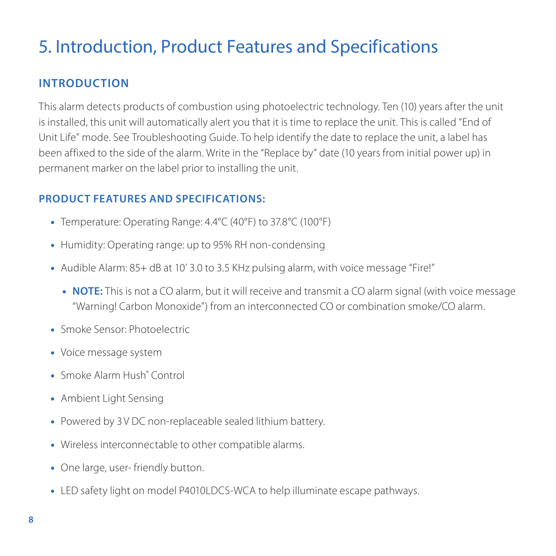# 5. Introduction, Product Features and Specifications

# **Introduction**

This alarm detects products of combustion using photoelectric technology. Ten (10) years after the unit is installed, this unit will automatically alert you that it is time to replace the unit. This is called "End of Unit Life" mode. See Troubleshooting Guide. To help identify the date to replace the unit, a label has been affixed to the side of the alarm. Write in the "Replace by" date (10 years from initial power up) in permanent marker on the label prior to installing the unit.

#### **Product Features and Specifications:**

- •• Temperature: Operating Range: 4.4°C (40°F) to 37.8°C (100°F)
- •• Humidity: Operating range: up to 95% RH non-condensing
- •• Audible Alarm: 85+ dB at 10' 3.0 to 3.5 KHz pulsing alarm, with voice message "Fire!"
	- •**• NOTE:** This is not a CO alarm, but it will receive and transmit a CO alarm signal (with voice message "Warning! Carbon Monoxide") from an interconnected CO or combination smoke/CO alarm.
- •• Smoke Sensor: Photoelectric
- •• Voice message system
- Smoke Alarm Hush® Control
- •• Ambient Light Sensing
- •• Powered by 3V DC non-replaceable sealed lithium battery.
- •• Wireless interconnectable to other compatible alarms.
- •• One large, user- friendly button.
- •• LED safety light on model P4010LDCS-WCA to help illuminate escape pathways.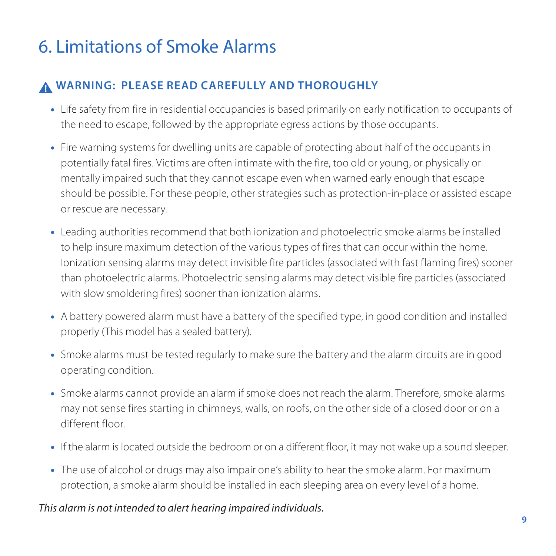# 6. Limitations of Smoke Alarms

# **Warning: please read carefully and thoroughly**

- •• Life safety from fire in residential occupancies is based primarily on early notification to occupants of the need to escape, followed by the appropriate egress actions by those occupants.
- •• Fire warning systems for dwelling units are capable of protecting about half of the occupants in potentially fatal fires. Victims are often intimate with the fire, too old or young, or physically or mentally impaired such that they cannot escape even when warned early enough that escape should be possible. For these people, other strategies such as protection-in-place or assisted escape or rescue are necessary.
- •• Leading authorities recommend that both ionization and photoelectric smoke alarms be installed to help insure maximum detection of the various types of fires that can occur within the home. Ionization sensing alarms may detect invisible fire particles (associated with fast flaming fires) sooner than photoelectric alarms. Photoelectric sensing alarms may detect visible fire particles (associated with slow smoldering fires) sooner than ionization alarms.
- •• A battery powered alarm must have a battery of the specified type, in good condition and installed properly (This model has a sealed battery).
- •• Smoke alarms must be tested regularly to make sure the battery and the alarm circuits are in good operating condition.
- •• Smoke alarms cannot provide an alarm if smoke does not reach the alarm. Therefore, smoke alarms may not sense fires starting in chimneys, walls, on roofs, on the other side of a closed door or on a different floor.
- •• If the alarm is located outside the bedroom or on a different floor, it may not wake up a sound sleeper.
- The use of alcohol or drugs may also impair one's ability to hear the smoke alarm. For maximum protection, a smoke alarm should be installed in each sleeping area on every level of a home.

#### *This alarm is not intended to alert hearing impaired individuals.*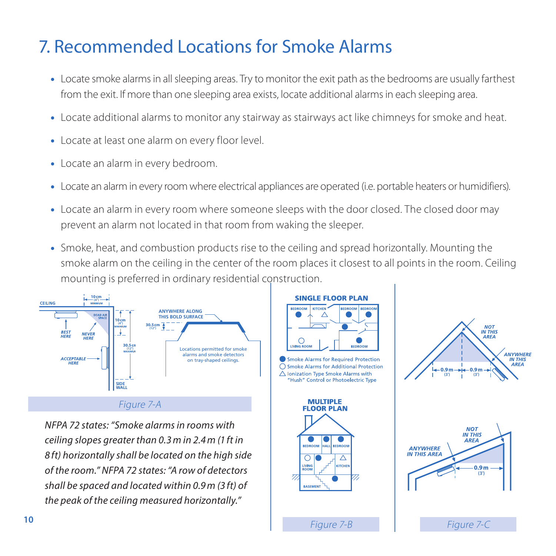#### **7. Recommended Locations for Smoke Alarms (4") 10cm**

- **•** Locate smoke alarms in all sleeping areas. Try to monitor the exit path as the bedrooms are usually farthest from the exit. If more than one sleeping area exists, locate additional alarms in each sleeping area.
- .<br>Locate additional alarms to monitor any stairway as stairways act like chimneys for smoke and heat.
- •• Locate at least one alarm on every floor level.
- Locate an alarm in every bedroom.
- **•** Locate an alarm in every room where electrical appliances are operated (i.e. portable heaters or humidifiers).
- •• Locate an alarm in every room where someone sleeps with the door closed. The closed door may prevent an alarm not located in that room from waking the sleeper.
- •• Smoke, heat, and combustion products rise to the ceiling and spread horizontally. Mounting the smoke alarm on the ceiling in the center of the room places it closest to all points in the room. Ceiling mounting is preferred in ordinary residential construction. **(4") 10cm**



*NFPA 72 states: "Smoke alarms in rooms with ceiling slopes greater than 0.3m in 2.4m (1 ft in 8 ft) horizontally shall be located on the high side of the room." NFPA 72 states: "A row of detectors shall be spaced and located within 0.9m (3 ft) of the peak of the ceiling measured horizontally."*



**0.9m**

**IN THIS AREA ANYWHER** 

**IN THIS 0.9m**

**APEA** 

**(3') 0.9m (3') 0.9m (3') 0.9m**

**0.9m**

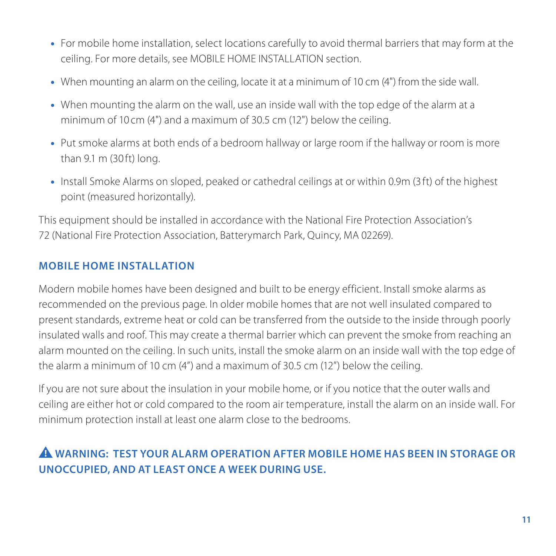- •• For mobile home installation, select locations carefully to avoid thermal barriers that may form at the ceiling. For more details, see MOBILE HOME INSTALLATION section.
- •• When mounting an alarm on the ceiling, locate it at a minimum of 10 cm (4") from the side wall.
- •• When mounting the alarm on the wall, use an inside wall with the top edge of the alarm at a minimum of 10 cm (4") and a maximum of 30.5 cm (12") below the ceiling.
- •• Put smoke alarms at both ends of a bedroom hallway or large room if the hallway or room is more than 9.1 m (30 ft) long.
- •• Install Smoke Alarms on sloped, peaked or cathedral ceilings at or within 0.9m (3 ft) of the highest point (measured horizontally).

This equipment should be installed in accordance with the National Fire Protection Association's 72 (National Fire Protection Association, Batterymarch Park, Quincy, MA 02269).

### **Mobile Home Installation**

Modern mobile homes have been designed and built to be energy efficient. Install smoke alarms as recommended on the previous page. In older mobile homes that are not well insulated compared to present standards, extreme heat or cold can be transferred from the outside to the inside through poorly insulated walls and roof. This may create a thermal barrier which can prevent the smoke from reaching an alarm mounted on the ceiling. In such units, install the smoke alarm on an inside wall with the top edge of the alarm a minimum of 10 cm (4") and a maximum of 30.5 cm (12") below the ceiling.

If you are not sure about the insulation in your mobile home, or if you notice that the outer walls and ceiling are either hot or cold compared to the room air temperature, install the alarm on an inside wall. For minimum protection install at least one alarm close to the bedrooms.

# **WARNING: Test your alarm operation after mobile home has been in storage or unoccupied, and at least once a week during use.**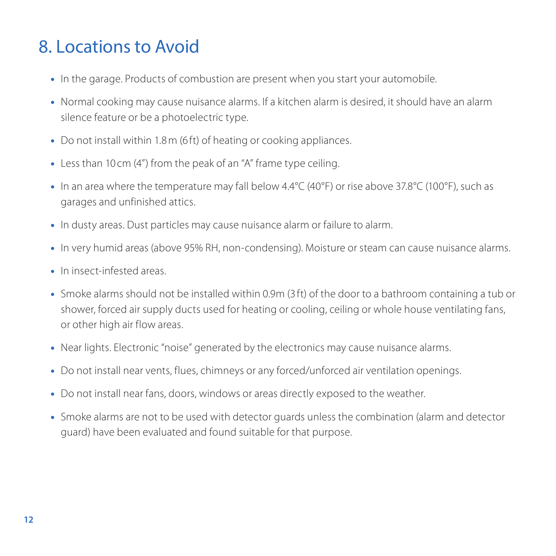# 8. Locations to Avoid

- •• In the garage. Products of combustion are present when you start your automobile.
- •• Normal cooking may cause nuisance alarms. If a kitchen alarm is desired, it should have an alarm silence feature or be a photoelectric type.
- Do not install within 1.8 m (6 ft) of heating or cooking appliances.
- •• Less than 10 cm (4") from the peak of an "A" frame type ceiling.
- •• In an area where the temperature may fall below 4.4°C (40°F) or rise above 37.8°C (100°F), such as garages and unfinished attics.
- •• In dusty areas. Dust particles may cause nuisance alarm or failure to alarm.
- •• In very humid areas (above 95% RH, non-condensing). Moisture or steam can cause nuisance alarms.
- In insect-infested areas.
- •• Smoke alarms should not be installed within 0.9m (3 ft) of the door to a bathroom containing a tub or shower, forced air supply ducts used for heating or cooling, ceiling or whole house ventilating fans, or other high air flow areas.
- •• Near lights. Electronic "noise" generated by the electronics may cause nuisance alarms.
- •• Do not install near vents, flues, chimneys or any forced/unforced air ventilation openings.
- •• Do not install near fans, doors, windows or areas directly exposed to the weather.
- •• Smoke alarms are not to be used with detector guards unless the combination (alarm and detector guard) have been evaluated and found suitable for that purpose.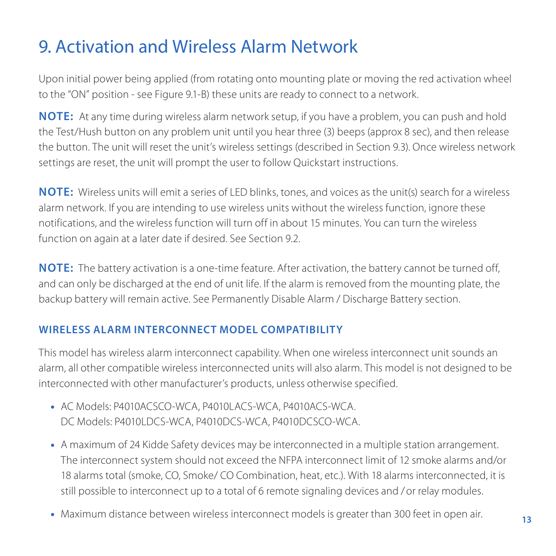# 9. Activation and Wireless Alarm Network

Upon initial power being applied (from rotating onto mounting plate or moving the red activation wheel to the "ON" position - see Figure 9.1-B) these units are ready to connect to a network.

**NOTE:** At any time during wireless alarm network setup, if you have a problem, you can push and hold the Test/Hush button on any problem unit until you hear three (3) beeps (approx 8 sec), and then release the button. The unit will reset the unit's wireless settings (described in Section 9.3). Once wireless network settings are reset, the unit will prompt the user to follow Quickstart instructions.

**NOTE:** Wireless units will emit a series of LED blinks, tones, and voices as the unit(s) search for a wireless alarm network. If you are intending to use wireless units without the wireless function, ignore these notifications, and the wireless function will turn off in about 15 minutes. You can turn the wireless function on again at a later date if desired. See Section 9.2.

**NOTE:** The battery activation is a one-time feature. After activation, the battery cannot be turned off, and can only be discharged at the end of unit life. If the alarm is removed from the mounting plate, the backup battery will remain active. See Permanently Disable Alarm / Discharge Battery section.

#### **Wireless alarm Interconnect Model Compatibility**

This model has wireless alarm interconnect capability. When one wireless interconnect unit sounds an alarm, all other compatible wireless interconnected units will also alarm. This model is not designed to be interconnected with other manufacturer's products, unless otherwise specified.

- •• AC Models: P4010ACSCO-WCA, P4010LACS-WCA, P4010ACS-WCA. DC Models: P4010LDCS-WCA, P4010DCS-WCA, P4010DCSCO-WCA.
- •• A maximum of 24 Kidde Safety devices may be interconnected in a multiple station arrangement. The interconnect system should not exceed the NFPA interconnect limit of 12 smoke alarms and/or 18 alarms total (smoke, CO, Smoke/ CO Combination, heat, etc.). With 18 alarms interconnected, it is still possible to interconnect up to a total of 6 remote signaling devices and /or relay modules.
- •• Maximum distance between wireless interconnect models is greater than 300 feet in open air.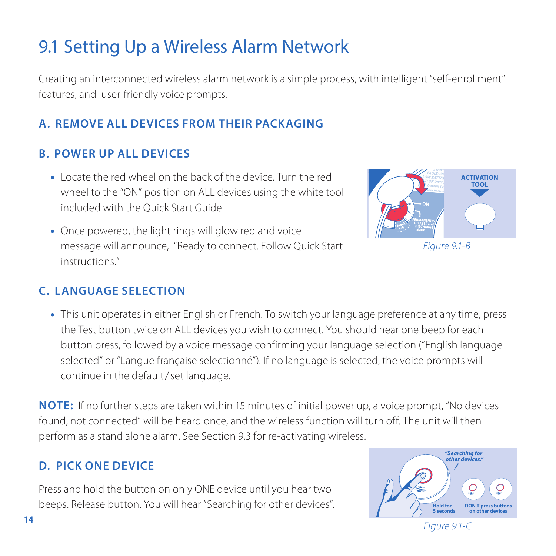# 9.1 Setting Up a Wireless Alarm Network

Creating an interconnected wireless alarm network is a simple process, with intelligent "self-enrollment" features, and user-friendly voice prompts.

# **a. Remove all DEVICES from their packaging**

### **b. Power up all devices**

- •• Locate the red wheel on the back of the device. Turn the red wheel to the "ON" position on ALL devices using the white tool included with the Quick Start Guide.
- •• Once powered, the light rings will glow red and voice message will announce, "Ready to connect. Follow Quick Start instructions."



Figure 9.1-B

### **C. LANGUAGE SELECTION**

•• This unit operates in either English or French. To switch your language preference at any time, press the Test button twice on ALL devices you wish to connect. You should hear one beep for each button press, followed by a voice message confirming your language selection ("English language selected" or "Langue française selectionné"). If no language is selected, the voice prompts will continue in the default/set language.

**NOTE:** If no further steps are taken within 15 minutes of initial power up, a voice prompt, "No devices found, not connected" will be heard once, and the wireless function will turn off. The unit will then perform as a stand alone alarm. See Section 9.3 for re-activating wireless.

### **D. Pick one device**

Press and hold the button on only ONE device until you hear two beeps. Release button. You will hear "Searching for other devices".



Figure 9.1-C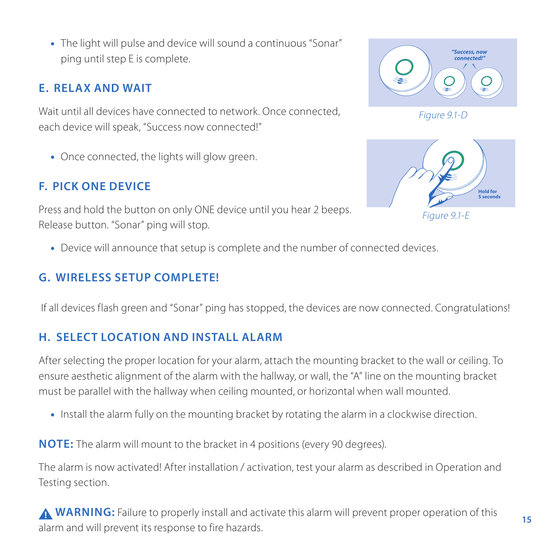•• The light will pulse and device will sound a continuous "Sonar" ping until step E is complete.

### **E. RELAX AND WAIT**

Wait until all devices have connected to network. Once connected, each device will speak, "Success now connected!"

•• Once connected, the lights will glow green.

# **F. Pick one device**

Press and hold the button on only ONE device until you hear 2 beeps. Release button. "Sonar" ping will stop.

•• Device will announce that setup is complete and the number of connected devices.

# **G. WIRELESS SETUP complete!**

If all devices flash green and "Sonar" ping has stopped, the devices are now connected. Congratulations!

### **H. select location and install alarm**

After selecting the proper location for your alarm, attach the mounting bracket to the wall or ceiling. To ensure aesthetic alignment of the alarm with the hallway, or wall, the "A" line on the mounting bracket must be parallel with the hallway when ceiling mounted, or horizontal when wall mounted.

•• Install the alarm fully on the mounting bracket by rotating the alarm in a clockwise direction.

**NOTE:** The alarm will mount to the bracket in 4 positions (every 90 degrees).

The alarm is now activated! After installation / activation, test your alarm as described in Operation and Testing section.

**WARNING:** Failure to properly install and activate this alarm will prevent proper operation of this alarm and will prevent its response to fire hazards.







Figure 9.1-E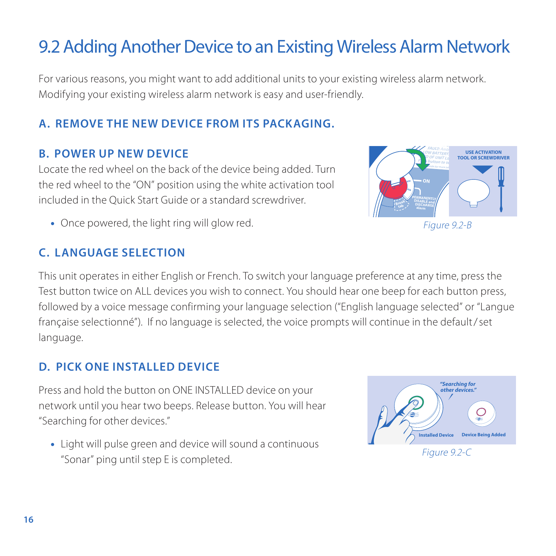# 9.2 Adding Another Device to an Existing Wireless Alarm Network

For various reasons, you might want to add additional units to your existing wireless alarm network. Modifying your existing wireless alarm network is easy and user-friendly.

# **a. Remove the new Device from its packaging.**

#### **b. Power up new device**

Locate the red wheel on the back of the device being added. Turn the red wheel to the "ON" position using the white activation tool included in the Quick Start Guide or a standard screwdriver.

• Once powered, the light ring will glow red.

# **C. LANGUAGE SELECTION**

This unit operates in either English or French. To switch your language preference at any time, press the Test button twice on ALL devices you wish to connect. You should hear one beep for each button press, followed by a voice message confirming your language selection ("English language selected" or "Langue française selectionné"). If no language is selected, the voice prompts will continue in the default/set language.

### **D. Pick One Installed Device**

Press and hold the button on ONE INSTALLED device on your network until you hear two beeps. Release button. You will hear "Searching for other devices."

•• Light will pulse green and device will sound a continuous Eight will puise green and device will sound a community.<br>"Sonar" ping until step E is completed.





Figure 9.2-B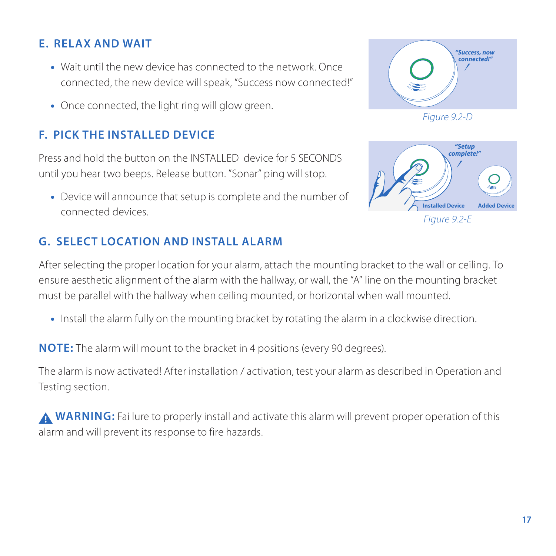# **E. Relax and wait**

- •• Wait until the new device has connected to the network. Once connected, the new device will speak, "Success now connected!"
- Once connected, the light ring will glow green.

### **F. Pick the installed device**

Press and hold the button on the INSTALLED device for 5 SECONDS until you hear two beeps. Release button. "Sonar" ping will stop.

•• Device will announce that setup is complete and the number of connected devices.

### **G. select location and install alarm**



Figure 9.2-D



After selecting the proper location for your alarm, attach the mounting bracket to the wall or ceiling. To ensure aesthetic alignment of the alarm with the hallway, or wall, the "A" line on the mounting bracket must be parallel with the hallway when ceiling mounted, or horizontal when wall mounted.

•• Install the alarm fully on the mounting bracket by rotating the alarm in a clockwise direction.

**NOTE:** The alarm will mount to the bracket in 4 positions (every 90 degrees).

The alarm is now activated! After installation / activation, test your alarm as described in Operation and Testing section.

**A WARNING:** Fai lure to properly install and activate this alarm will prevent proper operation of this alarm and will prevent its response to fire hazards.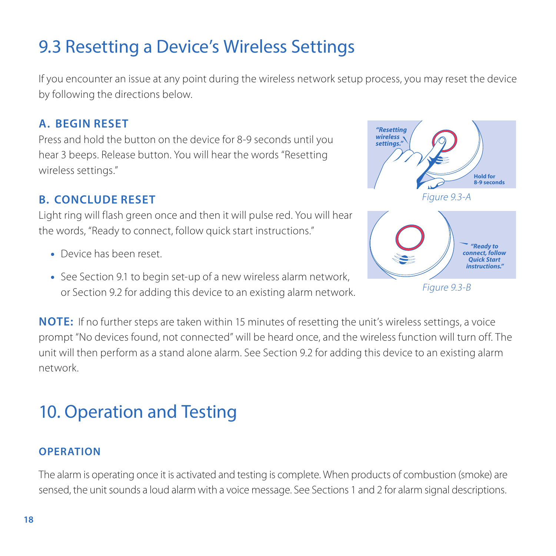# 9.3 Resetting a Device's Wireless Settings

If you encounter an issue at any point during the wireless network setup process, you may reset the device by following the directions below.

#### **A. Begin reset**

Press and hold the button on the device for 8-9 seconds until you hear 3 beeps. Release button. You will hear the words "Resetting wireless settings."

### **b. Conclude reset**

Light ring will flash green once and then it will pulse red. You will hear the words, "Ready to connect, follow quick start instructions."

- Device has been reset.
- •• See Section 9.1 to begin set-up of a new wireless alarm network, or Section 9.2 for adding this device to an existing alarm network.



**NOTE:** If no further steps are taken within 15 minutes of resetting the unit's wireless settings, a voice prompt "No devices found, not connected" will be heard once, and the wireless function will turn off. The unit will then perform as a stand alone alarm. See Section 9.2 for adding this device to an existing alarm network.

# 10. Operation and Testing

#### **Operation**

The alarm is operating once it is activated and testing is complete. When products of combustion (smoke) are sensed, the unit sounds a loud alarm with a voice message. See Sections 1 and 2 for alarm signal descriptions.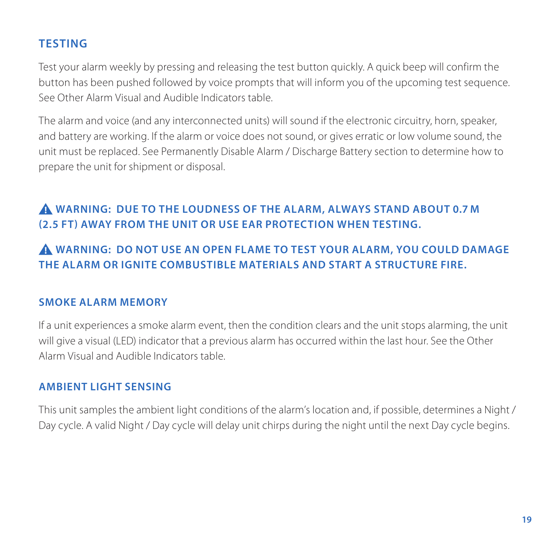### **Testing**

Test your alarm weekly by pressing and releasing the test button quickly. A quick beep will confirm the button has been pushed followed by voice prompts that will inform you of the upcoming test sequence. See Other Alarm Visual and Audible Indicators table.

The alarm and voice (and any interconnected units) will sound if the electronic circuitry, horn, speaker, and battery are working. If the alarm or voice does not sound, or gives erratic or low volume sound, the unit must be replaced. See Permanently Disable Alarm / Discharge Battery section to determine how to prepare the unit for shipment or disposal.

# **Warning: Due to the loudness of the alarm, always stand about 0.7 M (2.5 ft) away from the unit or use ear protection when testing.**

# **Warning: DO NOT use an open flame to test your alarm, you could damage the alarm or ignite combustible materials and start a structure fire.**

#### **Smoke Alarm Memory**

If a unit experiences a smoke alarm event, then the condition clears and the unit stops alarming, the unit will give a visual (LED) indicator that a previous alarm has occurred within the last hour. See the Other Alarm Visual and Audible Indicators table.

### **Ambient Light Sensing**

This unit samples the ambient light conditions of the alarm's location and, if possible, determines a Night / Day cycle. A valid Night / Day cycle will delay unit chirps during the night until the next Day cycle begins.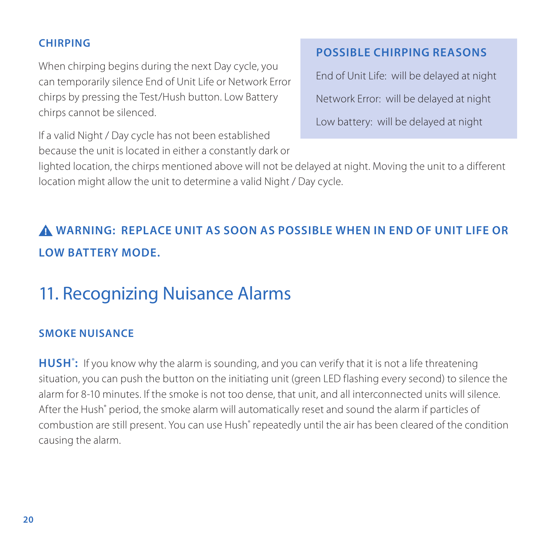#### **Chirping**

When chirping begins during the next Day cycle, you can temporarily silence End of Unit Life or Network Error chirps by pressing the Test/Hush button. Low Battery chirps cannot be silenced.

If a valid Night / Day cycle has not been established because the unit is located in either a constantly dark or

# **Possible chirping reasons**

End of Unit Life: will be delayed at night Network Error: will be delayed at night Low battery: will be delayed at night

lighted location, the chirps mentioned above will not be delayed at night. Moving the unit to a different location might allow the unit to determine a valid Night / Day cycle.

# **WARNING: REPLACE UNIT AS SOON AS POSSIBLE WHEN IN END OF UNIT LIFE OR LOW BATTERY MODE.**

# 11. Recognizing Nuisance Alarms

### **Smoke Nuisance**

**HUSH<sup>\*</sup>:** If you know why the alarm is sounding, and you can verify that it is not a life threatening situation, you can push the button on the initiating unit (green LED flashing every second) to silence the alarm for 8-10 minutes. If the smoke is not too dense, that unit, and all interconnected units will silence. After the Hush" period, the smoke alarm will automatically reset and sound the alarm if particles of combustion are still present. You can use Hush<sup>®</sup> repeatedly until the air has been cleared of the condition causing the alarm.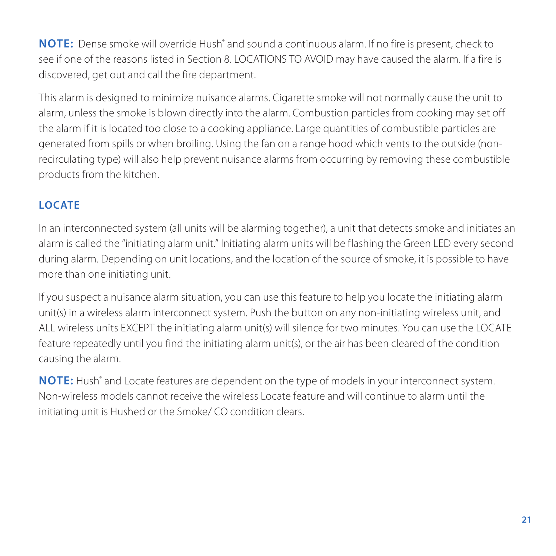NOTE: Dense smoke will override Hush<sup>®</sup> and sound a continuous alarm. If no fire is present, check to see if one of the reasons listed in Section 8. LOCATIONS TO AVOID may have caused the alarm. If a fire is discovered, get out and call the fire department.

This alarm is designed to minimize nuisance alarms. Cigarette smoke will not normally cause the unit to alarm, unless the smoke is blown directly into the alarm. Combustion particles from cooking may set off the alarm if it is located too close to a cooking appliance. Large quantities of combustible particles are generated from spills or when broiling. Using the fan on a range hood which vents to the outside (nonrecirculating type) will also help prevent nuisance alarms from occurring by removing these combustible products from the kitchen.

### **Locate**

In an interconnected system (all units will be alarming together), a unit that detects smoke and initiates an alarm is called the "initiating alarm unit." Initiating alarm units will be flashing the Green LED every second during alarm. Depending on unit locations, and the location of the source of smoke, it is possible to have more than one initiating unit.

If you suspect a nuisance alarm situation, you can use this feature to help you locate the initiating alarm unit(s) in a wireless alarm interconnect system. Push the button on any non-initiating wireless unit, and ALL wireless units EXCEPT the initiating alarm unit(s) will silence for two minutes. You can use the LOCATE feature repeatedly until you find the initiating alarm unit(s), or the air has been cleared of the condition causing the alarm.

NOTE: Hush<sup>®</sup> and Locate features are dependent on the type of models in your interconnect system. Non-wireless models cannot receive the wireless Locate feature and will continue to alarm until the initiating unit is Hushed or the Smoke/ CO condition clears.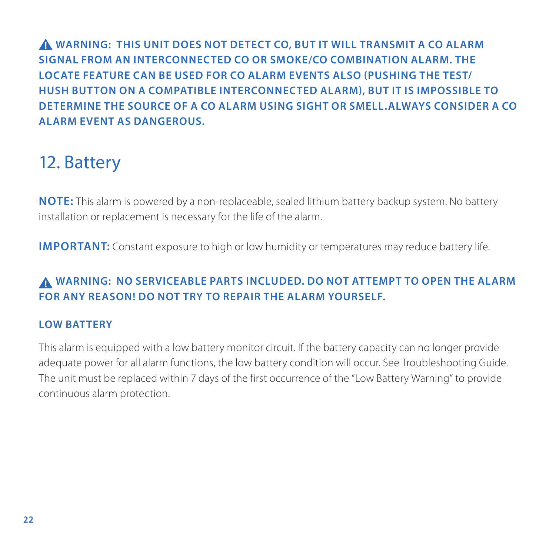**WARNING: THIS UNIT DOES NOT DETECT CO, BUT IT WILL TRANSMIT A CO ALARM SIGNAL FROM AN INTERCONNECTED CO OR SMOKE/CO COMBINATION ALARM. THE LOCATE FEATURE CAN BE USED FOR CO ALARM EVENTS ALSO (PUSHING THE TEST/ HUSH BUTTON ON A COMPATIBLE INTERCONNECTED ALARM), BUT IT IS IMPOSSIBLE TO DETERMINE THE SOURCE OF A CO ALARM USING SIGHT OR SMELL.ALWAYS CONSIDER A CO ALARM EVENT AS DANGEROUS.**

# 12. Battery

**NOTE:** This alarm is powered by a non-replaceable, sealed lithium battery backup system. No battery installation or replacement is necessary for the life of the alarm.

**IMPORTANT:** Constant exposure to high or low humidity or temperatures may reduce battery life.

### **WARNING: NO SERVICEABLE PARTS INCLUDED. DO NOT ATTEMPT TO OPEN THE ALARM FOR ANY REASON! Do not try to repair the alarm yourself.**

### **Low Battery**

This alarm is equipped with a low battery monitor circuit. If the battery capacity can no longer provide adequate power for all alarm functions, the low battery condition will occur. See Troubleshooting Guide. The unit must be replaced within 7 days of the first occurrence of the "Low Battery Warning" to provide continuous alarm protection.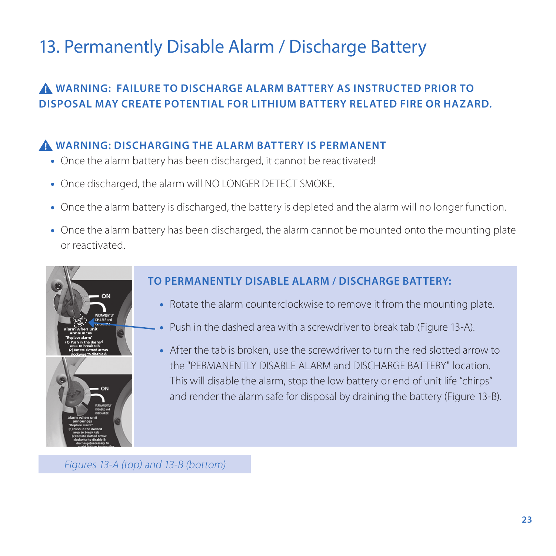# 13. Permanently Disable Alarm / Discharge Battery

# **WARNING: Failure to DISCHARGE alarm battery as instructed prior to disposal may create potential for lithium battery related fire or hazard.**

### **WARNING: Discharging the alarm battery is permanent**

- •• Once the alarm battery has been discharged, it cannot be reactivated!
- •• Once discharged, the alarm will NO LONGER DETECT SMOKE.
- •• Once the alarm battery is discharged, the battery is depleted and the alarm will no longer function.
- •• Once the alarm battery has been discharged, the alarm cannot be mounted onto the mounting plate or reactivated.



- •• Rotate the alarm counterclockwise to remove it from the mounting plate.
- Push in the dashed area with a screwdriver to break tab (Figure 13-A).
- •• After the tab is broken, use the screwdriver to turn the red slotted arrow to the "PERMANENTLY DISABLE ALARM and DISCHARGE BATTERY" location. This will disable the alarm, stop the low battery or end of unit life "chirps" and render the alarm safe for disposal by draining the battery (Figure 13-B).

Figures 13-A (top) and 13-B (bottom)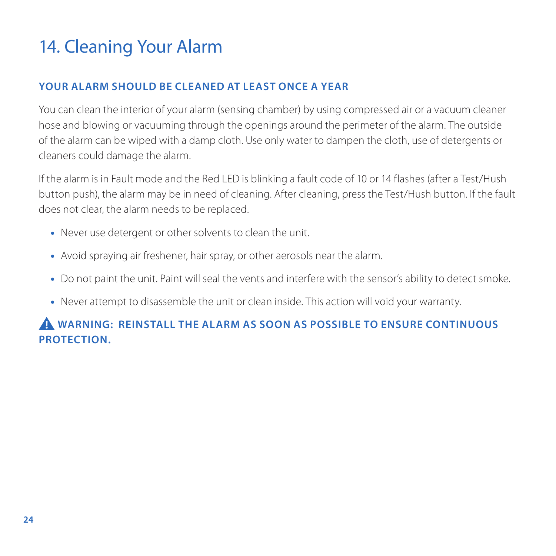# 14. Cleaning Your Alarm

### **Your Alarm Should be Cleaned at Least Once a Year**

You can clean the interior of your alarm (sensing chamber) by using compressed air or a vacuum cleaner hose and blowing or vacuuming through the openings around the perimeter of the alarm. The outside of the alarm can be wiped with a damp cloth. Use only water to dampen the cloth, use of detergents or cleaners could damage the alarm.

If the alarm is in Fault mode and the Red LED is blinking a fault code of 10 or 14 flashes (after a Test/Hush button push), the alarm may be in need of cleaning. After cleaning, press the Test/Hush button. If the fault does not clear, the alarm needs to be replaced.

- •• Never use detergent or other solvents to clean the unit.
- •• Avoid spraying air freshener, hair spray, or other aerosols near the alarm.
- •• Do not paint the unit. Paint will seal the vents and interfere with the sensor's ability to detect smoke.
- •• Never attempt to disassemble the unit or clean inside. This action will void your warranty.

# **WARNING: Reinstall the Alarm as soon as possible to ENsure continuous protection.**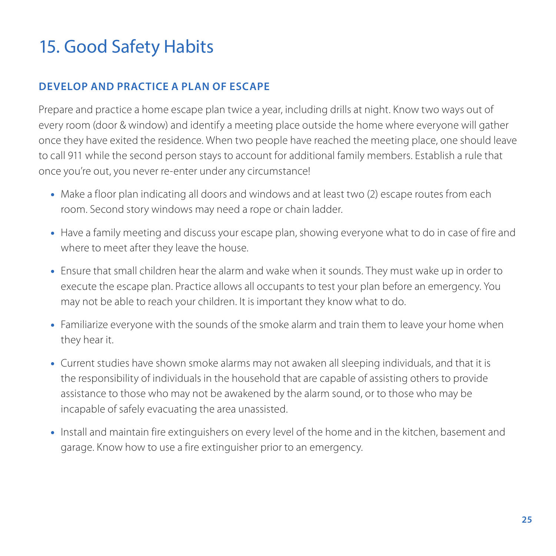# 15. Good Safety Habits

### **Develop and Practice a Plan of Escape**

Prepare and practice a home escape plan twice a year, including drills at night. Know two ways out of every room (door & window) and identify a meeting place outside the home where everyone will gather once they have exited the residence. When two people have reached the meeting place, one should leave to call 911 while the second person stays to account for additional family members. Establish a rule that once you're out, you never re-enter under any circumstance!

- •• Make a floor plan indicating all doors and windows and at least two (2) escape routes from each room. Second story windows may need a rope or chain ladder.
- •• Have a family meeting and discuss your escape plan, showing everyone what to do in case of fire and where to meet after they leave the house.
- •• Ensure that small children hear the alarm and wake when it sounds. They must wake up in order to execute the escape plan. Practice allows all occupants to test your plan before an emergency. You may not be able to reach your children. It is important they know what to do.
- •• Familiarize everyone with the sounds of the smoke alarm and train them to leave your home when they hear it.
- •• Current studies have shown smoke alarms may not awaken all sleeping individuals, and that it is the responsibility of individuals in the household that are capable of assisting others to provide assistance to those who may not be awakened by the alarm sound, or to those who may be incapable of safely evacuating the area unassisted.
- •• Install and maintain fire extinguishers on every level of the home and in the kitchen, basement and garage. Know how to use a fire extinguisher prior to an emergency.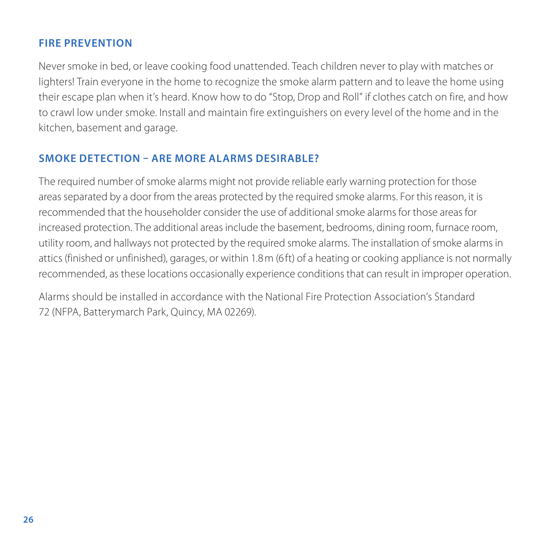#### **Fire Prevention**

Never smoke in bed, or leave cooking food unattended. Teach children never to play with matches or lighters! Train everyone in the home to recognize the smoke alarm pattern and to leave the home using their escape plan when it's heard. Know how to do "Stop, Drop and Roll" if clothes catch on fire, and how to crawl low under smoke. Install and maintain fire extinguishers on every level of the home and in the kitchen, basement and garage.

### **Smoke Detection – Are More Alarms Desirable?**

The required number of smoke alarms might not provide reliable early warning protection for those areas separated by a door from the areas protected by the required smoke alarms. For this reason, it is recommended that the householder consider the use of additional smoke alarms for those areas for increased protection. The additional areas include the basement, bedrooms, dining room, furnace room, utility room, and hallways not protected by the required smoke alarms. The installation of smoke alarms in attics (finished or unfinished), garages, or within 1.8m (6ft) of a heating or cooking appliance is not normally recommended, as these locations occasionally experience conditions that can result in improper operation.

Alarms should be installed in accordance with the National Fire Protection Association's Standard 72 (NFPA, Batterymarch Park, Quincy, MA 02269).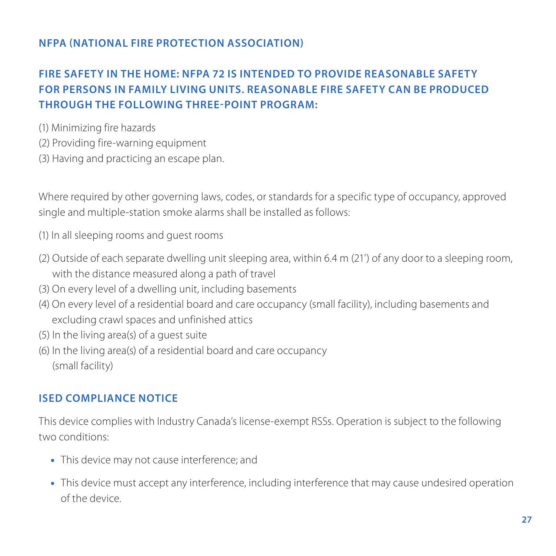#### **NFPA (National Fire Protection Association)**

### **Fire Safety in the Home: NFPA 72 is intended to provide reasonable safety for persons in family living units. Reasonable fire safety can be produced through the following three-point program:**

- (1) Minimizing fire hazards
- (2) Providing fire-warning equipment
- (3) Having and practicing an escape plan.

Where required by other governing laws, codes, or standards for a specific type of occupancy, approved single and multiple-station smoke alarms shall be installed as follows:

(1) In all sleeping rooms and guest rooms

- (2) Outside of each separate dwelling unit sleeping area, within 6.4 m (21') of any door to a sleeping room, with the distance measured along a path of travel
- (3) On every level of a dwelling unit, including basements
- (4) On every level of a residential board and care occupancy (small facility), including basements and excluding crawl spaces and unfinished attics
- (5) In the living area(s) of a guest suite
- (6) In the living area(s) of a residential board and care occupancy (small facility)

#### **ISED Compliance Notice**

This device complies with Industry Canada's license-exempt RSSs. Operation is subject to the following two conditions:

- •• This device may not cause interference; and
- •• This device must accept any interference, including interference that may cause undesired operation of the device.